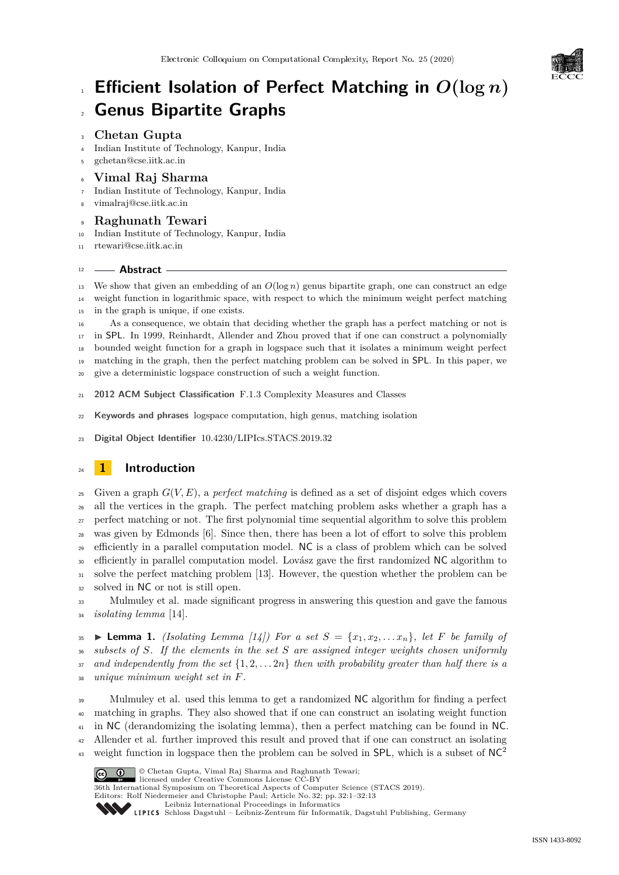

# **Efficient Isolation of Perfect Matching in** *O***(log** *n***) Genus Bipartite Graphs**

# **Chetan Gupta**

- Indian Institute of Technology, Kanpur, India
- [gchetan@cse.iitk.ac.in](mailto:gchetan@cse.iitk.ac.in)

# **Vimal Raj Sharma**

- Indian Institute of Technology, Kanpur, India
- [vimalraj@cse.iitk.ac.in](mailto:vimalraj@cse.iitk.ac.in)

# **Raghunath Tewari**

- Indian Institute of Technology, Kanpur, India
- [rtewari@cse.iitk.ac.in](mailto:rtewari@cse.iitk.ac.in)

# **Abstract**

13 We show that given an embedding of an  $O(\log n)$  genus bipartite graph, one can construct an edge weight function in logarithmic space, with respect to which the minimum weight perfect matching in the graph is unique, if one exists.

 As a consequence, we obtain that deciding whether the graph has a perfect matching or not is in SPL. In 1999, Reinhardt, Allender and Zhou proved that if one can construct a polynomially bounded weight function for a graph in logspace such that it isolates a minimum weight perfect matching in the graph, then the perfect matching problem can be solved in SPL. In this paper, we

give a deterministic logspace construction of such a weight function.

- **2012 ACM Subject Classification** F.1.3 Complexity Measures and Classes
- **Keywords and phrases** logspace computation, high genus, matching isolation

**Digital Object Identifier** [10.4230/LIPIcs.STACS.2019.32](https://doi.org/10.4230/LIPIcs.STACS.2019.32)

# **1 Introduction**

 Given a graph *G*(*V, E*), a *perfect matching* is defined as a set of disjoint edges which covers all the vertices in the graph. The perfect matching problem asks whether a graph has a perfect matching or not. The first polynomial time sequential algorithm to solve this problem was given by Edmonds [\[6\]](#page--1-0). Since then, there has been a lot of effort to solve this problem efficiently in a parallel computation model. NC is a class of problem which can be solved <sup>30</sup> efficiently in parallel computation model. Lovász gave the first randomized NC algorithm to solve the perfect matching problem [\[13\]](#page--1-1). However, the question whether the problem can be solved in NC or not is still open.

 Mulmuley et al. made significant progress in answering this question and gave the famous *isolating lemma* [\[14\]](#page--1-2).

 $\text{35}$   $\blacktriangleright$  **Lemma 1.** *(Isolating Lemma [\[14\]](#page--1-2)) For a set*  $S = \{x_1, x_2, \ldots x_n\}$ *, let*  $F$  *be family of subsets of S. If the elements in the set S are assigned integer weights chosen uniformly*  $\sigma$ <sup>37</sup> and independently from the set  $\{1, 2, \ldots, 2n\}$  then with probability greater than half there is a *unique minimum weight set in F.*

 Mulmuley et al. used this lemma to get a randomized NC algorithm for finding a perfect matching in graphs. They also showed that if one can construct an isolating weight function in NC (derandomizing the isolating lemma), then a perfect matching can be found in NC. Allender et al. further improved this result and proved that if one can construct an isolating weight function in logspace then the problem can be solved in  $SPL$ , which is a subset of NC<sup>2</sup> 



© Chetan Gupta, Vimal Raj Sharma and Raghunath Tewari;

licensed under Creative Commons License CC-BY 36th International Symposium on Theoretical Aspects of Computer Science (STACS 2019). Editors: Rolf Niedermeier and Christophe Paul; Article No. 32; pp. 32:1–32[:13](#page--1-3) [Leibniz International Proceedings in Informatics](https://www.dagstuhl.de/lipics/)

[Schloss Dagstuhl – Leibniz-Zentrum für Informatik, Dagstuhl Publishing, Germany](https://www.dagstuhl.de)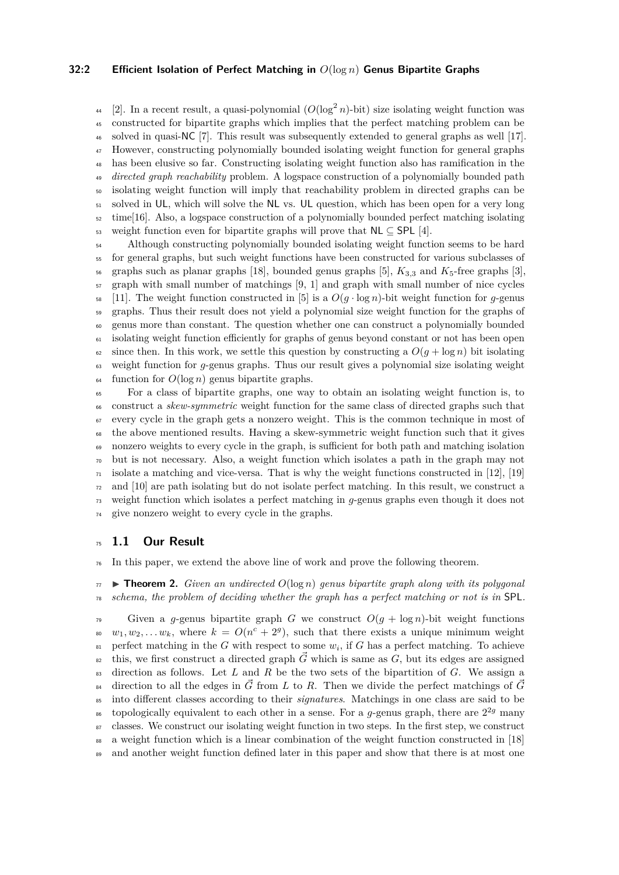### **32:2 Efficient Isolation of Perfect Matching in** *O*(log *n*) **Genus Bipartite Graphs**

<sup>44</sup> [\[2\]](#page-10-0). In a recent result, a quasi-polynomial  $(O(\log^2 n)$ -bit) size isolating weight function was constructed for bipartite graphs which implies that the perfect matching problem can be solved in quasi-NC [\[7\]](#page-11-0). This result was subsequently extended to general graphs as well [\[17\]](#page-11-1). However, constructing polynomially bounded isolating weight function for general graphs has been elusive so far. Constructing isolating weight function also has ramification in the *directed graph reachability* problem. A logspace construction of a polynomially bounded path isolating weight function will imply that reachability problem in directed graphs can be solved in UL, which will solve the NL vs. UL question, which has been open for a very long time[\[16\]](#page-11-2). Also, a logspace construction of a polynomially bounded perfect matching isolating 53 weight function even for bipartite graphs will prove that  $NL \subset SPL$  [\[4\]](#page-10-1).

<sup>54</sup> Although constructing polynomially bounded isolating weight function seems to be hard for general graphs, but such weight functions have been constructed for various subclasses of  $\frac{1}{56}$  graphs such as planar graphs [\[18\]](#page-11-3), bounded genus graphs [\[5\]](#page-11-4),  $K_{3,3}$  and  $K_{5}$ -free graphs [\[3\]](#page-10-2), graph with small number of matchings [\[9,](#page-11-5) [1\]](#page-10-3) and graph with small number of nice cycles [\[11\]](#page-11-6). The weight function constructed in [\[5\]](#page-11-4) is a  $O(g \cdot \log n)$ -bit weight function for *g*-genus graphs. Thus their result does not yield a polynomial size weight function for the graphs of genus more than constant. The question whether one can construct a polynomially bounded isolating weight function efficiently for graphs of genus beyond constant or not has been open  $\epsilon_2$  since then. In this work, we settle this question by constructing a  $O(q + \log n)$  bit isolating weight function for *g*-genus graphs. Thus our result gives a polynomial size isolating weight  $\frac{64}{100}$  function for  $O(\log n)$  genus bipartite graphs.

 For a class of bipartite graphs, one way to obtain an isolating weight function is, to construct a *skew-symmetric* weight function for the same class of directed graphs such that every cycle in the graph gets a nonzero weight. This is the common technique in most of the above mentioned results. Having a skew-symmetric weight function such that it gives nonzero weights to every cycle in the graph, is sufficient for both path and matching isolation but is not necessary. Also, a weight function which isolates a path in the graph may not  $_{71}$  isolate a matching and vice-versa. That is why the weight functions constructed in [\[12\]](#page-11-7), [\[19\]](#page-11-8)  $\sigma$ <sub>72</sub> and [\[10\]](#page-11-9) are path isolating but do not isolate perfect matching. In this result, we construct a weight function which isolates a perfect matching in *g*-genus graphs even though it does not give nonzero weight to every cycle in the graphs.

# <sup>75</sup> **1.1 Our Result**

<sup>76</sup> In this paper, we extend the above line of work and prove the following theorem.

 $\pi$   $\rightarrow$  **Theorem 2.** *Given an undirected*  $O(\log n)$  *genus bipartite graph along with its polygonal* <sup>78</sup> *schema, the problem of deciding whether the graph has a perfect matching or not is in* SPL*.*

79 Given a *g*-genus bipartite graph *G* we construct  $O(g + \log n)$ -bit weight functions  $w_1, w_2, \ldots w_k$ , where  $k = O(n^c + 2^g)$ , such that there exists a unique minimum weight  $\mathbb{R}^3$  perfect matching in the *G* with respect to some  $w_i$ , if *G* has a perfect matching. To achieve <sup>82</sup> this, we first construct a directed graph  $\vec{G}$  which is same as  $G$ , but its edges are assigned <sup>83</sup> direction as follows. Let *L* and *R* be the two sets of the bipartition of *G*. We assign a <sup>84</sup> direction to all the edges in  $\vec{G}$  from *L* to *R*. Then we divide the perfect matchings of  $\vec{G}$ <sup>85</sup> into different classes according to their *signatures*. Matchings in one class are said to be topologically equivalent to each other in a sense. For a  $g$ -genus graph, there are  $2^{2g}$  many <sup>87</sup> classes. We construct our isolating weight function in two steps. In the first step, we construct 88 a weight function which is a linear combination of the weight function constructed in [\[18\]](#page-11-3) 89 and another weight function defined later in this paper and show that there is at most one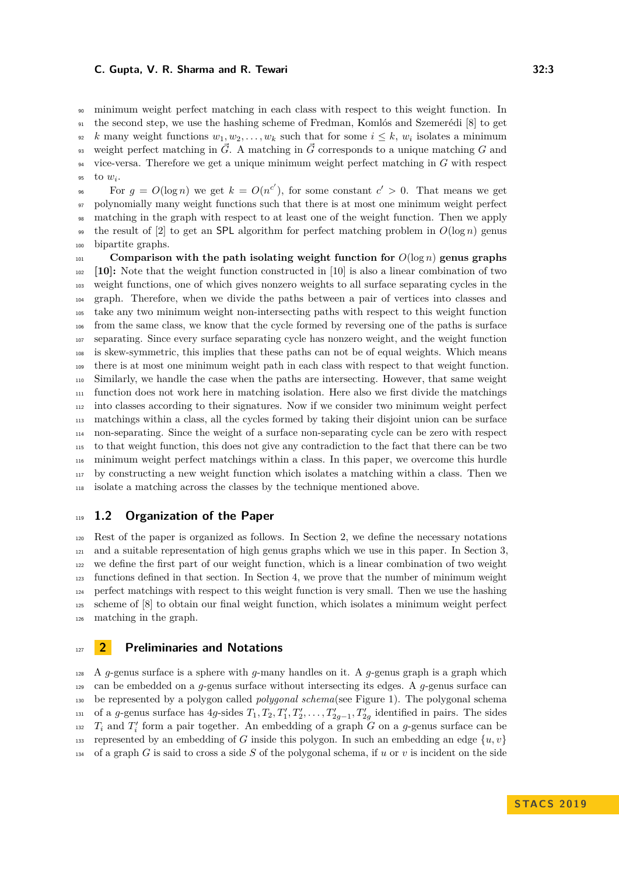minimum weight perfect matching in each class with respect to this weight function. In the second step, we use the hashing scheme of Fredman, Komlós and Szemerédi [\[8\]](#page-11-10) to get *k* many weight functions  $w_1, w_2, \ldots, w_k$  such that for some  $i \leq k$ ,  $w_i$  isolates a minimum weight perfect matching in  $\vec{G}$ . A matching in  $\vec{G}$  corresponds to a unique matching *G* and vice-versa. Therefore we get a unique minimum weight perfect matching in *G* with respect 95 to  $w_i$ .

For  $g = O(\log n)$  we get  $k = O(n^{c'})$ , for some constant  $c' > 0$ . That means we get polynomially many weight functions such that there is at most one minimum weight perfect matching in the graph with respect to at least one of the weight function. Then we apply <sup>99</sup> the result of [\[2\]](#page-10-0) to get an SPL algorithm for perfect matching problem in  $O(\log n)$  genus bipartite graphs.

**Comparison with the path isolating weight function for**  $O(\log n)$  genus graphs **[\[10\]](#page-11-9):** Note that the weight function constructed in [\[10\]](#page-11-9) is also a linear combination of two weight functions, one of which gives nonzero weights to all surface separating cycles in the graph. Therefore, when we divide the paths between a pair of vertices into classes and take any two minimum weight non-intersecting paths with respect to this weight function from the same class, we know that the cycle formed by reversing one of the paths is surface separating. Since every surface separating cycle has nonzero weight, and the weight function is skew-symmetric, this implies that these paths can not be of equal weights. Which means there is at most one minimum weight path in each class with respect to that weight function. Similarly, we handle the case when the paths are intersecting. However, that same weight function does not work here in matching isolation. Here also we first divide the matchings into classes according to their signatures. Now if we consider two minimum weight perfect matchings within a class, all the cycles formed by taking their disjoint union can be surface non-separating. Since the weight of a surface non-separating cycle can be zero with respect to that weight function, this does not give any contradiction to the fact that there can be two minimum weight perfect matchings within a class. In this paper, we overcome this hurdle by constructing a new weight function which isolates a matching within a class. Then we isolate a matching across the classes by the technique mentioned above.

# **1.2 Organization of the Paper**

 Rest of the paper is organized as follows. In Section [2,](#page-2-0) we define the necessary notations and a suitable representation of high genus graphs which we use in this paper. In Section [3,](#page-4-0) we define the first part of our weight function, which is a linear combination of two weight functions defined in that section. In Section [4,](#page-5-0) we prove that the number of minimum weight perfect matchings with respect to this weight function is very small. Then we use the hashing scheme of [\[8\]](#page-11-10) to obtain our final weight function, which isolates a minimum weight perfect matching in the graph.

# <span id="page-2-0"></span>**2 Preliminaries and Notations**

 A *q*-genus surface is a sphere with *q*-many handles on it. A *q*-genus graph is a graph which can be embedded on a *g*-genus surface without intersecting its edges. A *g*-genus surface can be represented by a polygon called *polygonal schema*(see Figure [1\)](#page-3-0). The polygonal schema <sup>131</sup> of a *g*-genus surface has  $4g$ -sides  $T_1, T_2, T'_1, T'_2, \ldots, T'_{2g-1}, T'_{2g}$  identified in pairs. The sides  $T_i$  and  $T'_i$  form a pair together. An embedding of a graph *G* on a *g*-genus surface can be 133 represented by an embedding of *G* inside this polygon. In such an embedding an edge  $\{u, v\}$ of a graph *G* is said to cross a side *S* of the polygonal schema, if *u* or *v* is incident on the side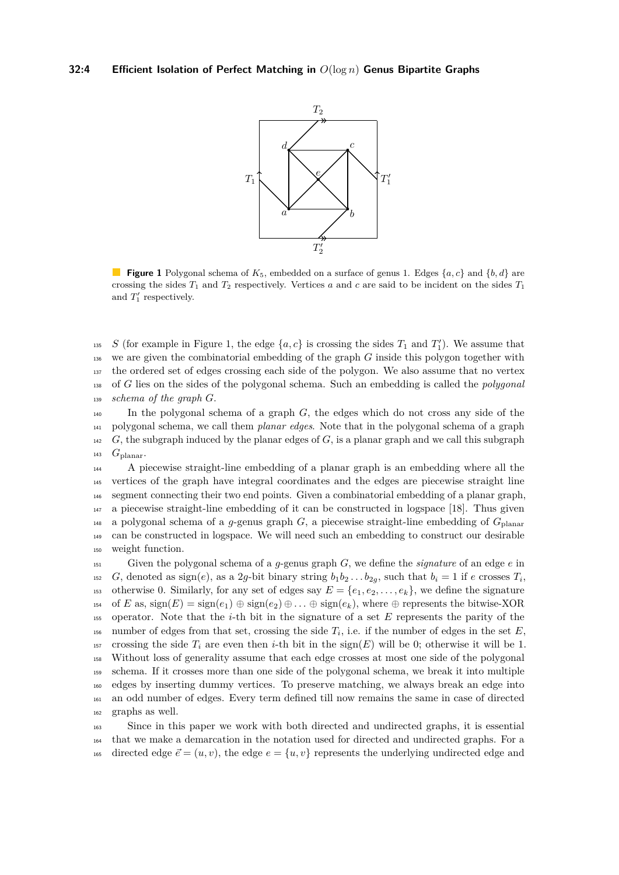<span id="page-3-0"></span>

**Figure 1** Polygonal schema of  $K_5$ , embedded on a surface of genus 1. Edges  $\{a, c\}$  and  $\{b, d\}$  are crossing the sides  $T_1$  and  $T_2$  respectively. Vertices *a* and *c* are said to be incident on the sides  $T_1$ and  $T_1'$  respectively.

<sup>135</sup> S (for example in Figure [1,](#page-3-0) the edge  $\{a, c\}$  is crossing the sides  $T_1$  and  $T_1'$ ). We assume that we are given the combinatorial embedding of the graph *G* inside this polygon together with the ordered set of edges crossing each side of the polygon. We also assume that no vertex of *G* lies on the sides of the polygonal schema. Such an embedding is called the *polygonal schema of the graph G*.

 In the polygonal schema of a graph *G*, the edges which do not cross any side of the polygonal schema, we call them *planar edges*. Note that in the polygonal schema of a graph *G*, the subgraph induced by the planar edges of *G*, is a planar graph and we call this subgraph  $_{143}$   $G_{\text{planar}}$ .

 A piecewise straight-line embedding of a planar graph is an embedding where all the vertices of the graph have integral coordinates and the edges are piecewise straight line segment connecting their two end points. Given a combinatorial embedding of a planar graph, a piecewise straight-line embedding of it can be constructed in logspace [\[18\]](#page-11-3). Thus given  $_{148}$  a polygonal schema of a *g*-genus graph *G*, a piecewise straight-line embedding of  $G_{\text{planar}}$  can be constructed in logspace. We will need such an embedding to construct our desirable weight function.

<sup>151</sup> Given the polygonal schema of a *g*-genus graph *G*, we define the *signature* of an edge *e* in *G*, denoted as sign(*e*), as a 2*g*-bit binary string  $b_1b_2 \ldots b_{2g}$ , such that  $b_i = 1$  if *e* crosses  $T_i$ , 153 otherwise 0. Similarly, for any set of edges say  $E = \{e_1, e_2, \ldots, e_k\}$ , we define the signature 154 of *E* as,  $sign(E) = sign(e_1) \oplus sign(e_2) \oplus \ldots \oplus sign(e_k)$ , where  $\oplus$  represents the bitwise-XOR <sup>155</sup> operator. Note that the *i*-th bit in the signature of a set *E* represents the parity of the number of edges from that set, crossing the side  $T_i$ , i.e. if the number of edges in the set  $E$ , 157 crossing the side  $T_i$  are even then *i*-th bit in the sign(E) will be 0; otherwise it will be 1. <sup>158</sup> Without loss of generality assume that each edge crosses at most one side of the polygonal <sup>159</sup> schema. If it crosses more than one side of the polygonal schema, we break it into multiple <sup>160</sup> edges by inserting dummy vertices. To preserve matching, we always break an edge into <sup>161</sup> an odd number of edges. Every term defined till now remains the same in case of directed <sup>162</sup> graphs as well.

<sup>163</sup> Since in this paper we work with both directed and undirected graphs, it is essential <sup>164</sup> that we make a demarcation in the notation used for directed and undirected graphs. For a 165 directed edge  $\vec{e} = (u, v)$ , the edge  $e = \{u, v\}$  represents the underlying undirected edge and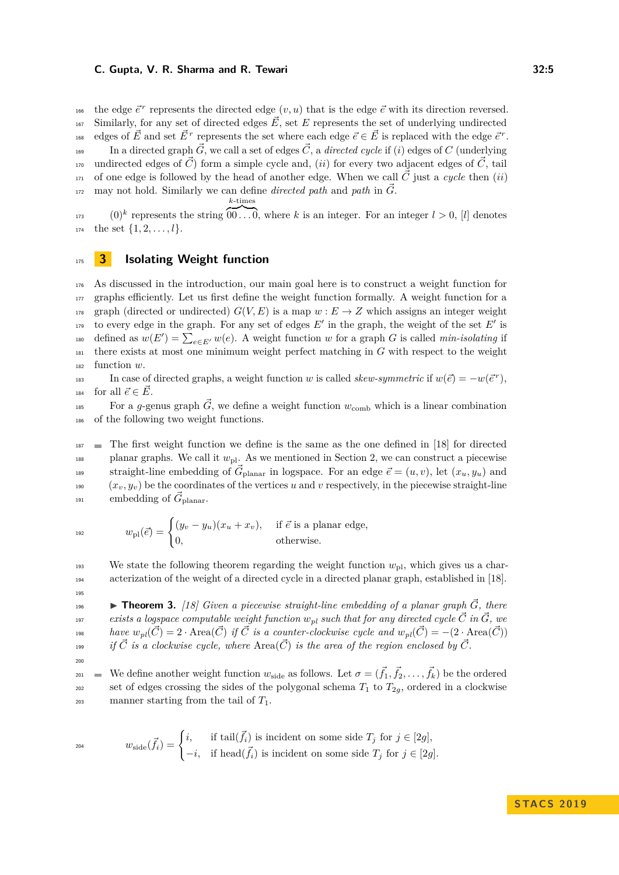the edge  $\vec{e}^r$  represents the directed edge  $(v, u)$  that is the edge  $\vec{e}$  with its direction reversed.  $\sum_{167}$  Similarly, for any set of directed edges  $\vec{E}$ , set *E* represents the set of underlying undirected <sup>168</sup> edges of  $\vec{E}$  and set  $\vec{E}^r$  represents the set where each edge  $\vec{e} \in \vec{E}$  is replaced with the edge  $\vec{e}^r$ . In a directed graph  $\vec{G}$ , we call a set of edges  $\vec{C}$ , a *directed cycle* if (*i*) edges of C (underlying undirected edges of  $\vec{C}$  form a simple cycle and, *(ii)* for every two adjacent edges of  $\vec{C}$ , tail  $_{171}$  of one edge is followed by the head of another edge. When we call  $\check{C}$  just a *cycle* then (*ii*)  $m_1$ <sup>172</sup> may not hold. Similarly we can define *directed path* and *path* in  $\vec{G}$ . *k*-times

 $_{173}$  (0)<sup>k</sup> represents the string  $\overline{00...0}$ , where k is an integer. For an integer  $l > 0$ , [l] denotes  $_{174}$  the set  $\{1, 2, \ldots, l\}.$ 

# <span id="page-4-0"></span><sup>175</sup> **3 Isolating Weight function**

<sup>176</sup> As discussed in the introduction, our main goal here is to construct a weight function for <sup>177</sup> graphs efficiently. Let us first define the weight function formally. A weight function for a <sup>178</sup> graph (directed or undirected)  $G(V, E)$  is a map  $w : E \to Z$  which assigns an integer weight to every edge in the graph. For any set of edges  $E'$  in the graph, the weight of the set  $E'$  is  $\det_{\text{180}}$  defined as  $w(E') = \sum_{e \in E'} w(e)$ . A weight function *w* for a graph *G* is called *min-isolating* if <sup>181</sup> there exists at most one minimum weight perfect matching in *G* with respect to the weight <sup>182</sup> function *w*.

In case of directed graphs, a weight function *w* is called *skew-symmetric* if  $w(\vec{e}) = -w(\vec{e}^r)$ , <sup>184</sup> for all  $\vec{e} \in \vec{E}$ .

For a *g*-genus graph  $\vec{G}$ , we define a weight function  $w_{\text{comb}}$  which is a linear combination <sup>186</sup> of the following two weight functions.

 $187$  The first weight function we define is the same as the one defined in [\[18\]](#page-11-3) for directed planar graphs. We call it  $w_{\text{pl}}$ . As we mentioned in Section [2,](#page-2-0) we can construct a piecewise straight-line embedding of  $\vec{G}_{\text{planar}}$  in logspace. For an edge  $\vec{e} = (u, v)$ , let  $(x_u, y_u)$  and  $(x_v, y_v)$  be the coordinates of the vertices *u* and *v* respectively, in the piecewise straight-line <sup>191</sup> embedding of  $\vec{G}_{\text{planar}}$ .

$$
w_{\text{pl}}(\vec{e}) = \begin{cases} (y_v - y_u)(x_u + x_v), & \text{if } \vec{e} \text{ is a planar edge,} \\ 0, & \text{otherwise.} \end{cases}
$$

We state the following theorem regarding the weight function  $w_{\text{nl}}$ , which gives us a char-<sup>194</sup> acterization of the weight of a directed cycle in a directed planar graph, established in [\[18\]](#page-11-3).

**Theorem 3.** [\[18\]](#page-11-3) Given a piecewise straight-line embedding of a planar graph  $\vec{G}$ , there *exists a logspace computable weight function*  $w_{pl}$  *such that for any directed cycle*  $\vec{C}$  *in*  $\vec{G}$ *, we have*  $w_{pl}(\vec{C}) = 2 \cdot \text{Area}(\vec{C})$  *if*  $\vec{C}$  *is a counter-clockwise cycle and*  $w_{pl}(\vec{C}) = -(2 \cdot \text{Area}(\vec{C}))$ *i*<sup>9</sup> *if*  $\vec{C}$  *is a clockwise cycle, where*  $Area(\vec{C})$  *is the area of the region enclosed by*  $\vec{C}$ *.* 

 $200$ 

 $19$ 

<span id="page-4-1"></span>195

We define another weight function  $w_{\text{side}}$  as follows. Let  $\sigma = (\vec{f}_1, \vec{f}_2, \dots, \vec{f}_k)$  be the ordered 202 set of edges crossing the sides of the polygonal schema  $T_1$  to  $T_2$ <sup>*g*</sup>, ordered in a clockwise <sup>203</sup> manner starting from the tail of *T*1.

$$
w_{\text{side}}(\vec{f}_i) = \begin{cases} i, & \text{if } \operatorname{tail}(\vec{f}_i) \text{ is incident on some side } T_j \text{ for } j \in [2g], \\ -i, & \text{if } \operatorname{head}(\vec{f}_i) \text{ is incident on some side } T_j \text{ for } j \in [2g]. \end{cases}
$$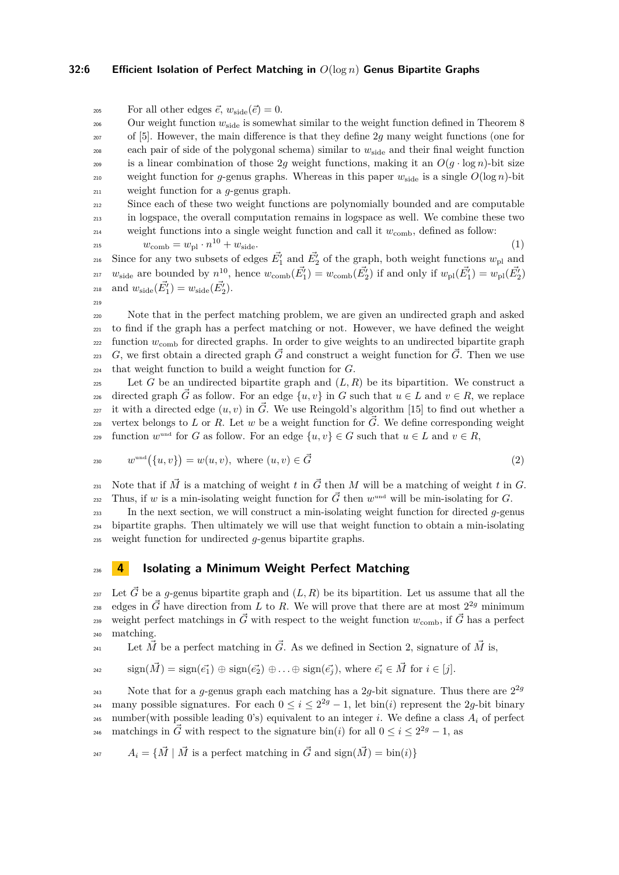# **32:6 Efficient Isolation of Perfect Matching in** *O*(log *n*) **Genus Bipartite Graphs**

<sup>205</sup> For all other edges  $\vec{e}$ ,  $w_{\text{side}}(\vec{e}) = 0$ .

<sup>206</sup> Our weight function  $w_{side}$  is somewhat similar to the weight function defined in Theorem 8 <sup>207</sup> of [\[5\]](#page-11-4). However, the main difference is that they define 2*g* many weight functions (one for  $208$  each pair of side of the polygonal schema) similar to  $w_{side}$  and their final weight function 209 is a linear combination of those 2g weight functions, making it an  $O(g \cdot \log n)$ -bit size weight function for *q*-genus graphs. Whereas in this paper  $w_{\text{side}}$  is a single  $O(\log n)$ -bit <sup>211</sup> weight function for a *g*-genus graph.

<sup>212</sup> Since each of these two weight functions are polynomially bounded and are computable <sup>213</sup> in logspace, the overall computation remains in logspace as well. We combine these two weight functions into a single weight function and call it  $w_{\text{comb}}$ , defined as follow:

 $w_{\text{comb}} = w_{\text{pl}} \cdot n^{10} + w_{\text{side}}.$  (1)

$$
(1)
$$

<sup>216</sup> Since for any two subsets of edges  $\vec{E_1'}$  and  $\vec{E_2'}$  of the graph, both weight functions  $w_{\text{pl}}$  and <sup>217</sup>  $w_{\text{side}}$  are bounded by  $n^{10}$ , hence  $w_{\text{comb}}(E_1') = w_{\text{comb}}(E_2')$  if and only if  $w_{\text{pl}}(E_1') = w_{\text{pl}}(E_2')$ 218 and  $w_{\text{side}}(\vec{E_1'}) = w_{\text{side}}(\vec{E_2'})$ .

219

<sup>220</sup> Note that in the perfect matching problem, we are given an undirected graph and asked <sup>221</sup> to find if the graph has a perfect matching or not. However, we have defined the weight <sup>222</sup> function  $w_{\text{comb}}$  for directed graphs. In order to give weights to an undirected bipartite graph *g*<sub>223</sub>  $G$ , we first obtain a directed graph  $\vec{G}$  and construct a weight function for  $\vec{G}$ . Then we use <sup>224</sup> that weight function to build a weight function for *G*.

 $225$  Let *G* be an undirected bipartite graph and  $(L, R)$  be its bipartition. We construct a directed graph  $\tilde{G}$  as follow. For an edge  $\{u, v\}$  in  $G$  such that  $u \in L$  and  $v \in R$ , we replace <sup>227</sup> it with a directed edge  $(u, v)$  in  $\vec{G}$ . We use Reingold's algorithm [\[15\]](#page-11-11) to find out whether a vertex belongs to L or R. Let w be a weight function for  $\vec{G}$ . We define corresponding weight  $\mathbb{R}^2$  function  $w^{\text{und}}$  for *G* as follow. For an edge  $\{u, v\} \in G$  such that  $u \in L$  and  $v \in R$ ,

$$
v^{\text{und}}(\{u,v\}) = w(u,v), \text{ where } (u,v) \in \vec{G}
$$
\n
$$
(2)
$$

231 Note that if  $\vec{M}$  is a matching of weight *t* in  $\vec{G}$  then  $M$  will be a matching of weight *t* in  $G$ . Thus, if *w* is a min-isolating weight function for  $\vec{G}$  then  $w^{\text{und}}$  will be min-isolating for *G*.

<sup>233</sup> In the next section, we will construct a min-isolating weight function for directed *g*-genus <sup>234</sup> bipartite graphs. Then ultimately we will use that weight function to obtain a min-isolating <sup>235</sup> weight function for undirected *g*-genus bipartite graphs.

# <span id="page-5-0"></span><sup>236</sup> **4 Isolating a Minimum Weight Perfect Matching**

<sup>237</sup> Let  $\vec{G}$  be a *g*-genus bipartite graph and  $(L, R)$  be its bipartition. Let us assume that all the <sup>228</sup> edges in  $\vec{G}$  have direction from *L* to *R*. We will prove that there are at most  $2^{2g}$  minimum weight perfect matchings in  $\vec{G}$  with respect to the weight function  $w_{\text{comb}}$ , if  $\vec{G}$  has a perfect <sup>240</sup> matching.

Let  $\vec{M}$  be a perfect matching in  $\vec{G}$ . As we defined in Section [2,](#page-2-0) signature of  $\vec{M}$  is,

$$
\text{sign}(\vec{M}) = \text{sign}(\vec{e_1}) \oplus \text{sign}(\vec{e_2}) \oplus \ldots \oplus \text{sign}(\vec{e_j}), \text{ where } \vec{e_i} \in \vec{M} \text{ for } i \in [j].
$$

Note that for a *g*-genus graph each matching has a 2*g*-bit signature. Thus there are  $2^{2g}$ 243 many possible signatures. For each  $0 \le i \le 2^{2g} - 1$ , let bin(*i*) represent the 2*g*-bit binary 245 number(with possible leading 0's) equivalent to an integer *i*. We define a class  $A_i$  of perfect 246 matchings in  $\vec{G}$  with respect to the signature bin(*i*) for all  $0 \le i \le 2^{2g} - 1$ , as

<sup>247</sup>  $A_i = {\overrightarrow{M} \mid \vec{M} \text{ is a perfect matching in } \vec{G} \text{ and } sign(\vec{M}) = bin(i)}$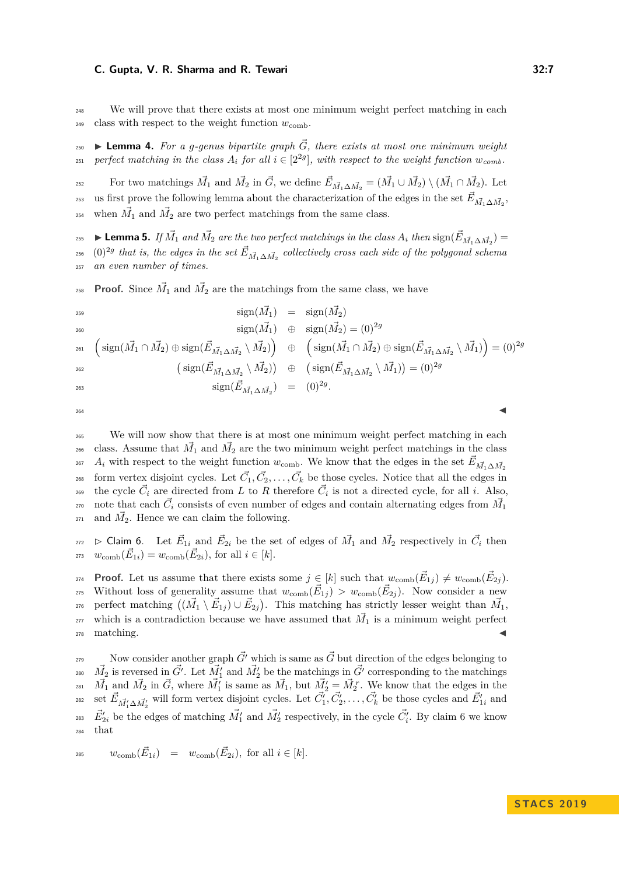<sup>248</sup> We will prove that there exists at most one minimum weight perfect matching in each <sup>249</sup> class with respect to the weight function  $w_{\text{comb}}$ .

<span id="page-6-2"></span> $\sum_{100}$  **Lemma 4.** For a g-genus bipartite graph  $\vec{G}$ , there exists at most one minimum weight *perfect matching in the class*  $A_i$  *for all*  $i \in [2^{2g}]$ *, with respect to the weight function*  $w_{comb}$ *.* 

For two matchings  $\vec{M}_1$  and  $\vec{M}_2$  in  $\vec{G}$ , we define  $\vec{E}_{\vec{M}_1\Delta\vec{M}_2} = (\vec{M}_1 \cup \vec{M}_2) \setminus (\vec{M}_1 \cap \vec{M}_2)$ . Let  $\vec{E}_{\vec{M}_1 \Delta \vec{M}_2}$ , us first prove the following lemma about the characterization of the edges in the set  $\vec{E}_{\vec{M}_1 \Delta \vec{M}_2}$ , <sup>254</sup> when  $\vec{M_1}$  and  $\vec{M_2}$  are two perfect matchings from the same class.

<span id="page-6-1"></span>**Exercise Exercise 25.** If  $\vec{M_1}$  and  $\vec{M_2}$  are the two perfect matchings in the class  $A_i$  then  $\text{sign}(\vec{E}_{\vec{M_1}\Delta\vec{M_2}})$  =  $_{{}^{256}}$  (0)<sup>2g</sup> that is, the edges in the set  $\vec{E}_{\vec{M_1}\Delta\vec{M_2}}$  collectively cross each side of the polygonal schema <sup>257</sup> *an even number of times.*

**Proof.** Since  $\vec{M}_1$  and  $\vec{M}_2$  are the matchings from the same class, we have

$$
\begin{array}{rcl}\n\text{sign}(\vec{M_1}) & = & \text{sign}(\vec{M_2}) \\
& = & \text{sign}(\vec{M_1}) \\
& = & \text{sign}(\vec{M_2}) = (0)^{2g} \\
\text{sign}(\vec{M_1} \cap \vec{M_2}) \oplus \text{sign}(\vec{E}_{\vec{M_1} \Delta \vec{M_2}} \setminus \vec{M_2})\n\end{array}\n\right) \\
\text{sign}(\vec{E}_{\vec{M_1} \Delta \vec{M_2}} \setminus \vec{M_2})\n\begin{array}{rcl}\n\text{sign}(\vec{M_1} \cap \vec{M_2}) \oplus \text{sign}(\vec{E}_{\vec{M_1} \Delta \vec{M_2}} \setminus \vec{M_1})\n\end{array}\n\right) = (0)^{2g} \\
\text{sign}(\vec{E}_{\vec{M_1} \Delta \vec{M_2}} \setminus \vec{M_2})\n\end{array}
$$
\n
$$
\text{sign}(\vec{E}_{\vec{M_1} \Delta \vec{M_2}}) = (0)^{2g}.
$$

 $264$ 

<sup>265</sup> We will now show that there is at most one minimum weight perfect matching in each <sup>266</sup> class. Assume that  $\vec{M_1}$  and  $\vec{M_2}$  are the two minimum weight perfect matchings in the class *A*<sup>*i*</sup> with respect to the weight function *w*<sub>comb</sub>. We know that the edges in the set  $\vec{E}_{\vec{M_1}\Delta\vec{M_2}}$ 267 <sup>268</sup> form vertex disjoint cycles. Let  $\vec{C}_1, \vec{C}_2, \ldots, \vec{C}_k$  be those cycles. Notice that all the edges in the cycle  $\vec{C}_i$  are directed from *L* to *R* therefore  $\vec{C}_i$  is not a directed cycle, for all *i*. Also,  $\vec{a}$  and contain alternating edges from  $\vec{M_1}$ <sup>271</sup> and  $\vec{M}_2$ . Hence we can claim the following.

<span id="page-6-0"></span> $B_{272}$   $\triangleright$  Claim 6. Let  $\vec{E}_{1i}$  and  $\vec{E}_{2i}$  be the set of edges of  $\vec{M}_1$  and  $\vec{M}_2$  respectively in  $\vec{C}_i$  then  $w_{\text{comb}}(\vec{E}_{1i}) = w_{\text{comb}}(\vec{E}_{2i}), \text{ for all } i \in [k].$ 

**Proof.** Let us assume that there exists some  $j \in [k]$  such that  $w_{\text{comb}}(\vec{E}_{1j}) \neq w_{\text{comb}}(\vec{E}_{2j})$ . Without loss of generality assume that  $w_{\text{comb}}(\vec{E}_{1j}) > w_{\text{comb}}(\vec{E}_{2j})$ . Now consider a new  $\vec{p}_{276}$  perfect matching  $((\vec{M}_1 \setminus \vec{E}_{1j}) \cup \vec{E}_{2j})$ . This matching has strictly lesser weight than  $\vec{M}_1$ , <sup>277</sup> which is a contradiction because we have assumed that  $\vec{M}_1$  is a minimum weight perfect  $_{278}$  matching.

Now consider another graph  $\vec{G'}$  which is same as  $\vec{G}$  but direction of the edges belonging to <sup>280</sup>  $\vec{M_2}$  is reversed in  $\vec{G'}$ . Let  $\vec{M'_1}$  and  $\vec{M'_2}$  be the matchings in  $\vec{G'}$  corresponding to the matchings <sup>281</sup>  $\vec{M}_1$  and  $\vec{M}_2$  in  $\vec{G}$ , where  $\vec{M}'_1$  is same as  $\vec{M}_1$ , but  $\vec{M}'_2 = \vec{M}_2^r$ . We know that the edges in the <sup>282</sup> set  $\vec{E}_{\vec{M}'_1 \Delta \vec{M}'_2}$  will form vertex disjoint cycles. Let  $\vec{C}'_1, \vec{C}'_2, \ldots, \vec{C}'_k$  be those cycles and  $\vec{E}'_{1i}$  and <sup>283</sup>  $\vec{E}_{2i}'$  be the edges of matching  $\vec{M}'_1$  and  $\vec{M}'_2$  respectively, in the cycle  $\vec{C}'_i$ . By claim [6](#page-6-0) we know <sup>284</sup> that

$$
\text{285} \qquad w_{\text{comb}}(\vec{E}_{1i}) = w_{\text{comb}}(\vec{E}_{2i}), \text{ for all } i \in [k].
$$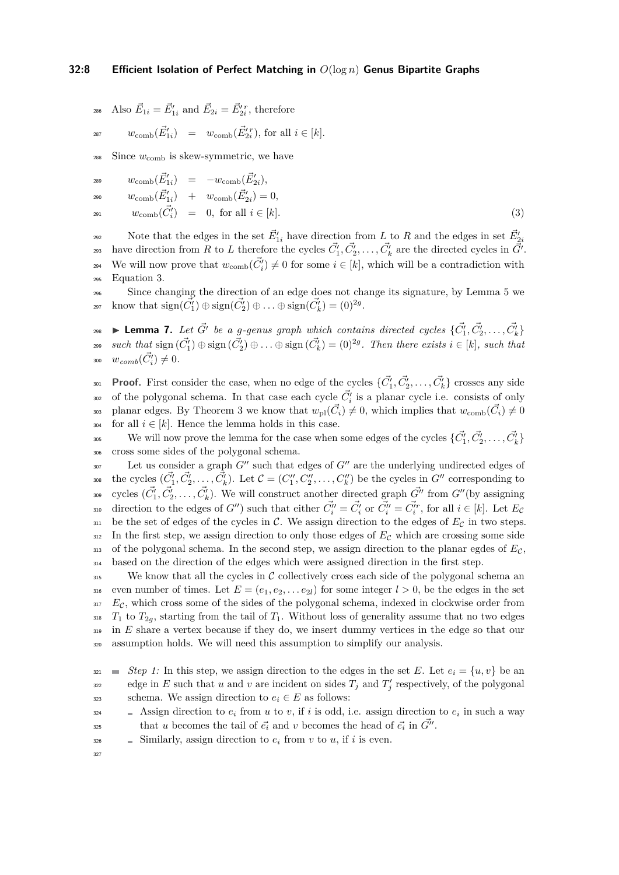<sup>286</sup> Also  $\vec{E}_{1i} = \vec{E}'_{1i}$  and  $\vec{E}_{2i} = \vec{E}'_{2i}$ , therefore

$$
w_{\text{comb}}(\vec{E}'_{1i}) = w_{\text{comb}}(\vec{E}'_{2i}), \text{ for all } i \in [k].
$$

- $288$  Since  $w_{\text{comb}}$  is skew-symmetric, we have
- <span id="page-7-0"></span> $w_{\rm comb}(\vec{E}'_{1i}) = -w_{\rm comb}(\vec{E}'_{2i}),$

$$
w_{\rm comb}(\vec{E}'_{1i}) + w_{\rm comb}(\vec{E}'_{2i}) = 0,
$$

 $w_{\text{comb}}(\vec{C}'_i) = 0$ , for all  $i \in [k]$ . (3)

Note that the edges in the set  $\vec{E}_{1i}'$  have direction from *L* to *R* and the edges in set  $\vec{E}_{2i}'$  $292$ have direction from *R* to *L* therefore the cycles  $\vec{C_1'}, \vec{C_2'}, \ldots, \vec{C_k'}$  are the directed cycles in  $\vec{G'}$ . We will now prove that  $w_{\text{comb}}(\vec{C}_i') \neq 0$  for some  $i \in [k]$ , which will be a contradiction with <sup>295</sup> Equation [3.](#page-7-0)

<sup>296</sup> Since changing the direction of an edge does not change its signature, by Lemma [5](#page-6-1) we know that  $sign(\vec{C}_1') \oplus sign(\vec{C}_2') \oplus ... \oplus sign(\vec{C}_k') = (0)^{2g}$ .

**Lemma 7.** Let  $\vec{G'}$  be a g-genus graph which contains directed cycles  $\{\vec{C_1'}, \vec{C_2'}, \ldots, \vec{C_k'}\}$  $\mathcal{L}_{299}$  *such that*  $\text{sign}(\vec{C_1'}) \oplus \text{sign}(\vec{C_2'}) \oplus \ldots \oplus \text{sign}(\vec{C_k'}) = (0)^{2g}$ . Then there exists  $i \in [k]$ , such that 300  $w_{comb}(\vec{C}'_i) \neq 0$ .

**Proof.** First consider the case, when no edge of the cycles  $\{\vec{C}_1', \vec{C}_2', \ldots, \vec{C}_k'\}$  crosses any side <sup>302</sup> of the polygonal schema. In that case each cycle  $\vec{C}_i'$  is a planar cycle i.e. consists of only be planar edges. By Theorem [3](#page-4-1) we know that  $w_{\text{pl}}(\vec{C}_i) \neq 0$ , which implies that  $w_{\text{comb}}(\vec{C}_i) \neq 0$ <sup>304</sup> for all  $i \in [k]$ . Hence the lemma holds in this case.

We will now prove the lemma for the case when some edges of the cycles  $\{\vec{C_1'}, \vec{C_2'}, \ldots, \vec{C_k'}\}$ <sup>306</sup> cross some sides of the polygonal schema.

 $L$ et us consider a graph  $G''$  such that edges of  $G''$  are the underlying undirected edges of the cycles  $(\vec{C}^{\prime}_1, \vec{C}^{\prime}_2, \ldots, \vec{C}^{\prime}_k)$ . Let  $\mathcal{C} = (C''_1, C''_2, \ldots, C''_k)$  be the cycles in  $G''$  corresponding to <sup>309</sup> cycles  $(\vec{C}_1', \vec{C}_2', \ldots, \vec{C}_k')$ . We will construct another directed graph  $\vec{G''}$  from  $G''$  (by assigning direction to the edges of *G*<sup>*n*</sup>) such that either  $\vec{C}''_i = \vec{C}'_i$  or  $\vec{C}''_i = \vec{C}''_i$ , for all  $i \in [k]$ . Let  $E_c$  $311$  be the set of edges of the cycles in C. We assign direction to the edges of  $E<sub>C</sub>$  in two steps.  $312$  In the first step, we assign direction to only those edges of  $E<sub>C</sub>$  which are crossing some side  $313$  of the polygonal schema. In the second step, we assign direction to the planar egdes of  $E_{\mathcal{C}}$ , <sup>314</sup> based on the direction of the edges which were assigned direction in the first step.

 $\frac{315}{1315}$  We know that all the cycles in C collectively cross each side of the polygonal schema an 316 even number of times. Let  $E = (e_1, e_2, \ldots e_{2l})$  for some integer  $l > 0$ , be the edges in the set <sup>317</sup> *E<sub>C</sub>*, which cross some of the sides of the polygonal schema, indexed in clockwise order from  $T_1$  to  $T_2$ <sub>*g*</sub>, starting from the tail of  $T_1$ . Without loss of generality assume that no two edges <sup>319</sup> in *E* share a vertex because if they do, we insert dummy vertices in the edge so that our <sup>320</sup> assumption holds. We will need this assumption to simplify our analysis.

- $\sum_{i=1}^{326}$  Similarly, assign direction to  $e_i$  from *v* to *u*, if *i* is even.
- 327

 $Step 1:$  In this step, we assign direction to the edges in the set E. Let  $e_i = \{u, v\}$  be an edge in *E* such that *u* and *v* are incident on sides  $T_j$  and  $T'_j$  respectively, of the polygonal schema. We assign direction to  $e_i \in E$  as follows:

Assign direction to  $e_i$  from *u* to *v*, if *i* is odd, i.e. assign direction to  $e_i$  in such a way that *u* becomes the tail of  $\vec{e}_i$  and *v* becomes the head of  $\vec{e}_i$  in  $\vec{G}^{\prime\prime}$ .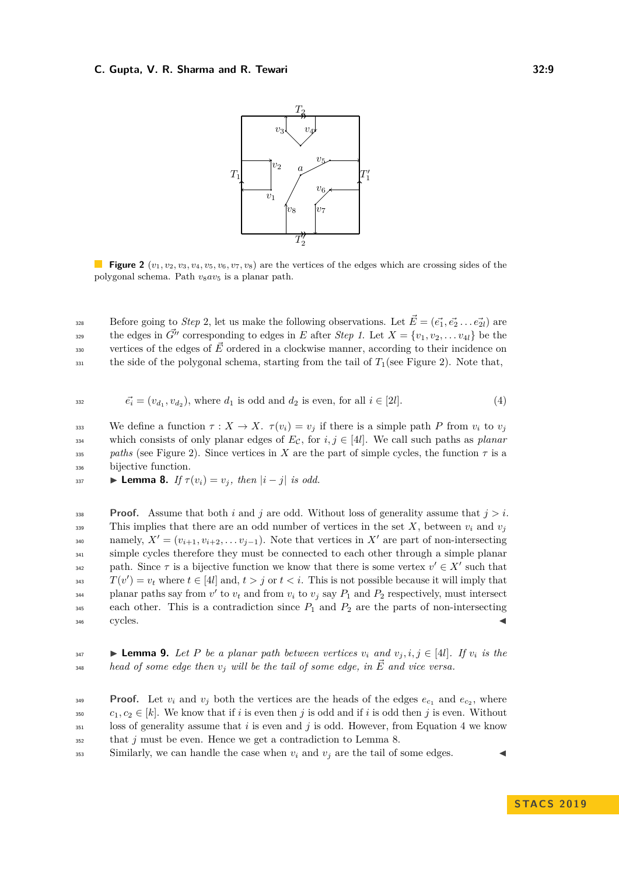<span id="page-8-0"></span>

**Figure 2**  $(v_1, v_2, v_3, v_4, v_5, v_6, v_7, v_8)$  are the vertices of the edges which are crossing sides of the polygonal schema. Path *v*8*av*<sup>5</sup> is a planar path.

Before going to *Step* 2, let us make the following observations. Let  $\vec{E} = (\vec{e_1}, \vec{e_2} \dots \vec{e_{2l}})$  are the edges in  $\vec{G}''$  corresponding to edges in *E* after *Step 1*. Let  $X = \{v_1, v_2, \ldots v_{4l}\}$  be the vertices of the edges of  $\vec{E}$  ordered in a clockwise manner, according to their incidence on  $_{331}$  the side of the polygonal schema, starting from the tail of  $T_1$ (see Figure [2\)](#page-8-0). Note that,

<span id="page-8-1"></span>
$$
\vec{e_i} = (v_{d_1}, v_{d_2}), \text{ where } d_1 \text{ is odd and } d_2 \text{ is even, for all } i \in [2l]. \tag{4}
$$

333 We define a function  $\tau : X \to X$ .  $\tau(v_i) = v_i$  if there is a simple path *P* from  $v_i$  to  $v_j$ 334 which consists of only planar edges of  $E_c$ , for *i*,  $j \in [4l]$ . We call such paths as *planar* <sup>335</sup> *paths* (see Figure [2\)](#page-8-0). Since vertices in *X* are the part of simple cycles, the function *τ* is a <sup>336</sup> bijective function.

<span id="page-8-2"></span>
$$
\text{Lemma 8. If } \tau(v_i) = v_j, \text{ then } |i - j| \text{ is odd.}
$$

**Proof.** Assume that both *i* and *j* are odd. Without loss of generality assume that  $j > i$ . 339 This implies that there are an odd number of vertices in the set X, between  $v_i$  and  $v_j$ namely,  $X' = (v_{i+1}, v_{i+2}, \ldots v_{j-1})$ . Note that vertices in  $X'$  are part of non-intersecting  $\sinh$  simple cycles therefore they must be connected to each other through a simple planar path. Since  $\tau$  is a bijective function we know that there is some vertex  $v' \in X'$  such that  $T(v') = v_t$  where  $t \in [4l]$  and,  $t > j$  or  $t < i$ . This is not possible because it will imply that planar paths say from  $v'$  to  $v_t$  and from  $v_i$  to  $v_j$  say  $P_1$  and  $P_2$  respectively, must intersect  $\alpha$ <sub>345</sub> each other. This is a contradiction since  $P_1$  and  $P_2$  are the parts of non-intersecting <sup>346</sup> cycles. J

**247 Lemma 9.** Let P be a planar path between vertices  $v_i$  and  $v_j$ ,  $i, j \in [4l]$ . If  $v_i$  is the  $\mu$ <sub>348</sub> *head of some edge then*  $v_j$  *will be the tail of some edge, in*  $\vec{E}$  *and vice versa.* 

**Proof.** Let  $v_i$  and  $v_j$  both the vertices are the heads of the edges  $e_{c_1}$  and  $e_{c_2}$ , where  $c_1, c_2 \in [k]$ . We know that if *i* is even then *j* is odd and if *i* is odd then *j* is even. Without loss of generality assume that *i* is even and *j* is odd. However, from Equation [4](#page-8-1) we know that *j* must be even. Hence we get a contradiction to Lemma [8.](#page-8-2)

 $\text{353}$  Similarly, we can handle the case when  $v_i$  and  $v_j$  are the tail of some edges.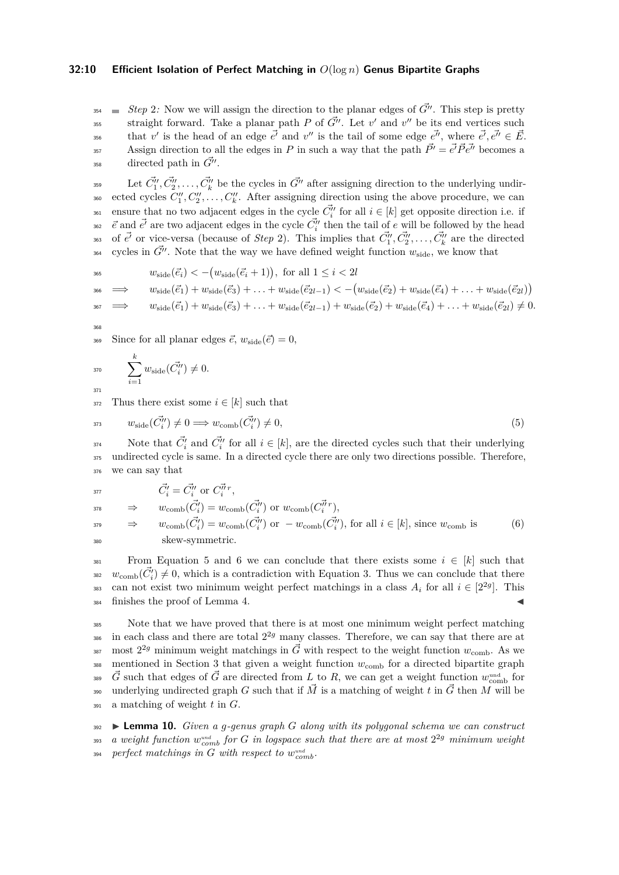#### **32:10 Efficient Isolation of Perfect Matching in** *O*(log *n*) **Genus Bipartite Graphs**

 $S_{354}$  **Example 12**: Now we will assign the direction to the planar edges of  $\vec{G}''$ . This step is pretty straight forward. Take a planar path *P* of  $\vec{G}''$ . Let  $v'$  and  $v''$  be its end vertices such that *v'* is the head of an edge  $\vec{e'}$  and *v''* is the tail of some edge  $\vec{e''}$ , where  $\vec{e'}$ ,  $\vec{e''} \in \vec{E}$ . Assign direction to all the edges in *P* in such a way that the path  $\vec{P'} = \vec{e'} \vec{P} \vec{e''}$  becomes a  $358$  directed path in  $\tilde{G}''$ .

<sup>359</sup> Let  $\vec{C}''_1, \vec{C}''_2, \ldots, \vec{C}''_k$  be the cycles in  $\vec{G}''$  after assigning direction to the underlying undir-<sup>360</sup> ected cycles  $C_1'', C_2'', \ldots, C_k''$ . After assigning direction using the above procedure, we can <sup>361</sup> ensure that no two adjacent edges in the cycle  $\vec{C}''_i$  for all  $i \in [k]$  get opposite direction i.e. if  $\vec{e}$  and  $\vec{e'}$  are two adjacent edges in the cycle  $\vec{C}''_i$  then the tail of *e* will be followed by the head 363 of  $\vec{e'}$  or vice-versa (because of *Step* 2). This implies that  $\vec{C}''_1, \vec{C}''_2, \ldots, \vec{C}''_k$  are the directed cycles in  $\vec{G}''$ . Note that the way we have defined weight function  $w_{\text{side}}$ , we know that

$$
w_{\text{side}}(\vec{e}_i) < -(w_{\text{side}}(\vec{e}_i + 1)), \text{ for all } 1 \le i < 2l
$$

$$
\Rightarrow \qquad w_{\text{side}}(\vec{e}_1) + w_{\text{side}}(\vec{e}_3) + \ldots + w_{\text{side}}(\vec{e}_{2l-1}) < -\big(w_{\text{side}}(\vec{e}_2) + w_{\text{side}}(\vec{e}_4) + \ldots + w_{\text{side}}(\vec{e}_{2l})\big)
$$

$$
w_{\text{side}}(\vec{e}_1) + w_{\text{side}}(\vec{e}_3) + \ldots + w_{\text{side}}(\vec{e}_{2l-1}) + w_{\text{side}}(\vec{e}_2) + w_{\text{side}}(\vec{e}_4) + \ldots + w_{\text{side}}(\vec{e}_{2l}) \neq 0.
$$

368

366

369 Since for all planar edges  $\vec{e}$ ,  $w_{\text{side}}(\vec{e}) = 0$ ,

$$
_{^{370}}\qquad \sum_{i=1}^{k}w_{\rm side}(\vec{C_{i}''})\neq 0.
$$

372 Thus there exist some  $i \in [k]$  such that

<span id="page-9-0"></span>
$$
w_{\text{side}}(\vec{C}''_i) \neq 0 \Longrightarrow w_{\text{comb}}(\vec{C}''_i) \neq 0,\tag{5}
$$

Note that  $\vec{C}'_i$  and  $\vec{C}''_i$  for all  $i \in [k]$ , are the directed cycles such that their underlying <sup>375</sup> undirected cycle is same. In a directed cycle there are only two directions possible. Therefore, <sup>376</sup> we can say that

<span id="page-9-1"></span>
$$
\vec{C}'_i = \vec{C}''_i \text{ or } \vec{C}^{\vec{n}}_i{}^r,
$$

$$
\Rightarrow w_{\text{comb}}(\vec{C}'_i) = w_{\text{comb}}(\vec{C}''_i) \text{ or } w_{\text{comb}}(\vec{C}''_i^r),\n\Rightarrow w_{\text{comb}}(\vec{C}'_i) = w_{\text{comb}}(\vec{C}''_i) \text{ or } -w_{\text{comb}}(\vec{C}''_i^r), \text{ for all } i \in [k], \text{ since } w_{\text{comb}} \text{ is} \qquad (6)\nskew-symmetric.
$$

381 From Equation [5](#page-9-0) and [6](#page-9-1) we can conclude that there exists some  $i \in [k]$  such that <sup>382</sup>  $w_{\text{comb}}(\vec{C}_i') \neq 0$ , which is a contradiction with Equation [3.](#page-7-0) Thus we can conclude that there can not exist two minimum weight perfect matchings in a class  $A_i$  for all  $i \in [2^{2g}]$ . This  $384$  finishes the proof of Lemma [4.](#page-6-2)

<sup>385</sup> Note that we have proved that there is at most one minimum weight perfect matching  $\frac{1}{286}$  in each class and there are total  $2^{2g}$  many classes. Therefore, we can say that there are at <sup>387</sup> most  $2^{2g}$  minimum weight matchings in  $\vec{G}$  with respect to the weight function  $w_{\text{comb}}$ . As we  $388$  mentioned in Section [3](#page-4-0) that given a weight function  $w_{\text{comb}}$  for a directed bipartite graph <sup>389</sup>  $\vec{G}$  such that edges of  $\vec{G}$  are directed from *L* to *R*, we can get a weight function  $w_{\text{comb}}^{\text{und}}$  for underlying undirected graph *G* such that if  $\vec{M}$  is a matching of weight *t* in  $\vec{G}$  then *M* will be <sup>391</sup> a matching of weight *t* in *G*.

<sup>392</sup> I **Lemma 10.** *Given a g-genus graph G along with its polygonal schema we can construct*  $\alpha$  *weight function*  $w_{comb}^{und}$  *for*  $G$  *in logspace such that there are at most*  $2^{2g}$  *minimum weight*  $\emph{perfect matchings in } G \emph{ with respect to } w_{comb}^{und}.$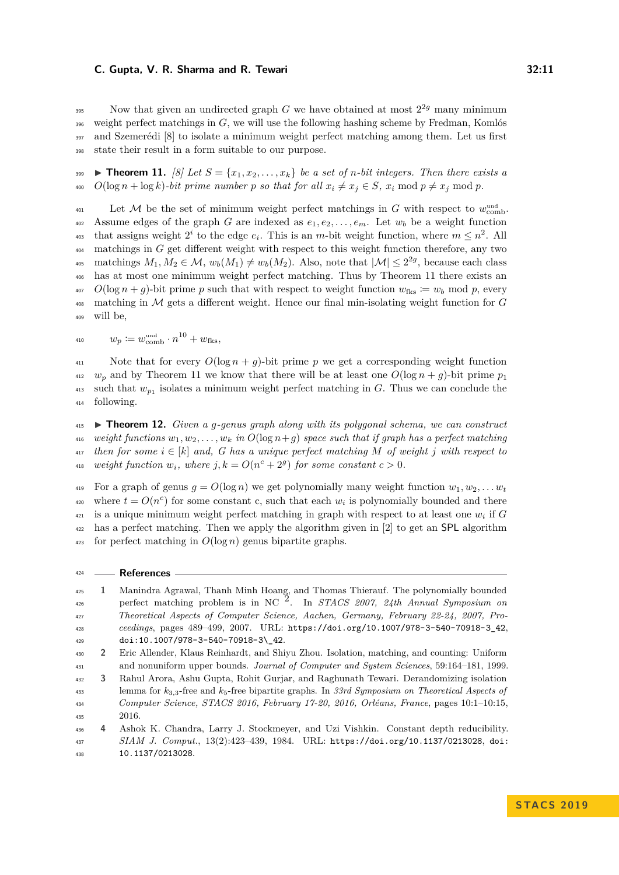Now that given an undirected graph *G* we have obtained at most  $2^{2g}$  many minimum weight perfect matchings in *G*, we will use the following hashing scheme by Fredman, Komlós and Szemerédi [\[8\]](#page-11-10) to isolate a minimum weight perfect matching among them. Let us first state their result in a form suitable to our purpose.

<span id="page-10-4"></span> $\blacktriangleright$  **Theorem 11.** [\[8\]](#page-11-10) Let  $S = \{x_1, x_2, \ldots, x_k\}$  be a set of *n*-bit integers. Then there exists a 400 *O*(log  $n + \log k$ )-bit prime number p so that for all  $x_i \neq x_j \in S$ ,  $x_i \mod p \neq x_j \mod p$ .

Let M be the set of minimum weight perfect matchings in *G* with respect to  $w_{\text{comb}}^{\text{und}}$ . 402 Assume edges of the graph *G* are indexed as  $e_1, e_2, \ldots, e_m$ . Let  $w_b$  be a weight function that assigns weight  $2^i$  to the edge  $e_i$ . This is an *m*-bit weight function, where  $m \leq n^2$ . All <sup>404</sup> matchings in *G* get different weight with respect to this weight function therefore, any two <sup>405</sup> matchings  $M_1, M_2 \in \mathcal{M}, w_b(M_1) \neq w_b(M_2)$ . Also, note that  $|\mathcal{M}| \leq 2^{2g}$ , because each class <sup>406</sup> has at most one minimum weight perfect matching. Thus by Theorem [11](#page-10-4) there exists an  $O(\log n + g)$ -bit prime *p* such that with respect to weight function  $w_{\text{fks}} := w_b \mod p$ , every <sup>408</sup> matching in M gets a different weight. Hence our final min-isolating weight function for *G* <sup>409</sup> will be,

$$
u_p \coloneqq w_{\text{comb}}^{\text{und}} \cdot n^{10} + w_{\text{fks}},
$$

411 Note that for every  $O(\log n + g)$ -bit prime p we get a corresponding weight function  $w_p$  and by Theorem [11](#page-10-4) we know that there will be at least one  $O(\log n + g)$ -bit prime  $p_1$ <sup>413</sup> such that  $w_{p_1}$  isolates a minimum weight perfect matching in *G*. Thus we can conclude the <sup>414</sup> following.

<sup>415</sup> I **Theorem 12.** *Given a g-genus graph along with its polygonal schema, we can construct*  $\mu_1$ <sup>th</sup> weight functions  $w_1, w_2, \ldots, w_k$  in  $O(\log n + g)$  space such that if graph has a perfect matching  $\{417\}$  then for some  $i \in [k]$  and, G has a unique perfect matching M of weight *j* with respect to *weight function*  $w_i$ *, where*  $j, k = O(n^c + 2^g)$  *for some constant*  $c > 0$ *.* 

419 For a graph of genus  $g = O(\log n)$  we get polynomially many weight function  $w_1, w_2, \ldots, w_t$ where  $t = O(n^c)$  for some constant c, such that each  $w_i$  is polynomially bounded and there <sup>421</sup> is a unique minimum weight perfect matching in graph with respect to at least one  $w_i$  if  $G$ <sup>422</sup> has a perfect matching. Then we apply the algorithm given in [\[2\]](#page-10-0) to get an SPL algorithm <sup>423</sup> for perfect matching in  $O(\log n)$  genus bipartite graphs.

<sup>424</sup> **References**

<span id="page-10-3"></span><sup>425</sup> **1** Manindra Agrawal, Thanh Minh Hoang, and Thomas Thierauf. The polynomially bounded <sup>426</sup> perfect matching problem is in NC  $\overline{2}$ . In *STACS 2007, 24th Annual Symposium on* <sup>427</sup> *Theoretical Aspects of Computer Science, Aachen, Germany, February 22-24, 2007, Pro-*<sup>428</sup> *ceedings*, pages 489–499, 2007. URL: [https://doi.org/10.1007/978-3-540-70918-3\\_42](https://doi.org/10.1007/978-3-540-70918-3_42), <sup>429</sup> [doi:10.1007/978-3-540-70918-3\\\_42](http://dx.doi.org/10.1007/978-3-540-70918-3_42).

<span id="page-10-0"></span><sup>430</sup> **2** Eric Allender, Klaus Reinhardt, and Shiyu Zhou. Isolation, matching, and counting: Uniform <sup>431</sup> and nonuniform upper bounds. *Journal of Computer and System Sciences*, 59:164–181, 1999.

<span id="page-10-2"></span><sup>432</sup> **3** Rahul Arora, Ashu Gupta, Rohit Gurjar, and Raghunath Tewari. Derandomizing isolation <sup>433</sup> lemma for *k*3*,*3-free and *k*5-free bipartite graphs. In *33rd Symposium on Theoretical Aspects of* <sup>434</sup> *Computer Science, STACS 2016, February 17-20, 2016, Orléans, France*, pages 10:1–10:15, <sup>435</sup> 2016.

<span id="page-10-1"></span><sup>436</sup> **4** Ashok K. Chandra, Larry J. Stockmeyer, and Uzi Vishkin. Constant depth reducibility. <sup>437</sup> *SIAM J. Comput.*, 13(2):423–439, 1984. URL: <https://doi.org/10.1137/0213028>, [doi:](http://dx.doi.org/10.1137/0213028) <sup>438</sup> [10.1137/0213028](http://dx.doi.org/10.1137/0213028).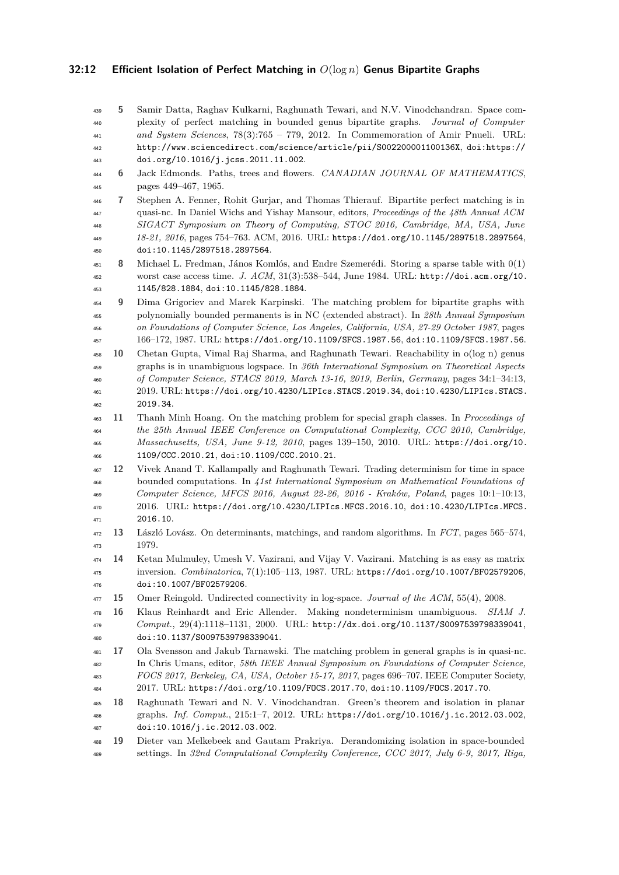### **32:12 Efficient Isolation of Perfect Matching in** *O*(log *n*) **Genus Bipartite Graphs**

<span id="page-11-11"></span><span id="page-11-10"></span><span id="page-11-9"></span><span id="page-11-8"></span><span id="page-11-7"></span><span id="page-11-6"></span><span id="page-11-5"></span><span id="page-11-4"></span><span id="page-11-3"></span><span id="page-11-2"></span><span id="page-11-1"></span><span id="page-11-0"></span> **5** Samir Datta, Raghav Kulkarni, Raghunath Tewari, and N.V. Vinodchandran. Space com- plexity of perfect matching in bounded genus bipartite graphs. *Journal of Computer and System Sciences*, 78(3):765 – 779, 2012. In Commemoration of Amir Pnueli. URL: <http://www.sciencedirect.com/science/article/pii/S002200001100136X>, [doi:https://](http://dx.doi.org/https://doi.org/10.1016/j.jcss.2011.11.002) [doi.org/10.1016/j.jcss.2011.11.002](http://dx.doi.org/https://doi.org/10.1016/j.jcss.2011.11.002). **6** Jack Edmonds. Paths, trees and flowers. *CANADIAN JOURNAL OF MATHEMATICS*, pages 449–467, 1965. **7** Stephen A. Fenner, Rohit Gurjar, and Thomas Thierauf. Bipartite perfect matching is in quasi-nc. In Daniel Wichs and Yishay Mansour, editors, *Proceedings of the 48th Annual ACM SIGACT Symposium on Theory of Computing, STOC 2016, Cambridge, MA, USA, June 18-21, 2016*, pages 754–763. ACM, 2016. URL: <https://doi.org/10.1145/2897518.2897564>, [doi:10.1145/2897518.2897564](http://dx.doi.org/10.1145/2897518.2897564). **8** Michael L. Fredman, János Komlós, and Endre Szemerédi. Storing a sparse table with 0(1) worst case access time. *J. ACM*, 31(3):538–544, June 1984. URL: [http://doi.acm.org/10.](http://doi.acm.org/10.1145/828.1884) [1145/828.1884](http://doi.acm.org/10.1145/828.1884), [doi:10.1145/828.1884](http://dx.doi.org/10.1145/828.1884). **9** Dima Grigoriev and Marek Karpinski. The matching problem for bipartite graphs with polynomially bounded permanents is in NC (extended abstract). In *28th Annual Symposium on Foundations of Computer Science, Los Angeles, California, USA, 27-29 October 1987*, pages 166–172, 1987. URL: <https://doi.org/10.1109/SFCS.1987.56>, [doi:10.1109/SFCS.1987.56](http://dx.doi.org/10.1109/SFCS.1987.56). **10** Chetan Gupta, Vimal Raj Sharma, and Raghunath Tewari. Reachability in o(log n) genus graphs is in unambiguous logspace. In *36th International Symposium on Theoretical Aspects of Computer Science, STACS 2019, March 13-16, 2019, Berlin, Germany*, pages 34:1–34:13, 2019. URL: <https://doi.org/10.4230/LIPIcs.STACS.2019.34>, [doi:10.4230/LIPIcs.STACS.](http://dx.doi.org/10.4230/LIPIcs.STACS.2019.34) [2019.34](http://dx.doi.org/10.4230/LIPIcs.STACS.2019.34). **11** Thanh Minh Hoang. On the matching problem for special graph classes. In *Proceedings of the 25th Annual IEEE Conference on Computational Complexity, CCC 2010, Cambridge, Massachusetts, USA, June 9-12, 2010*, pages 139–150, 2010. URL: [https://doi.org/10.](https://doi.org/10.1109/CCC.2010.21) [1109/CCC.2010.21](https://doi.org/10.1109/CCC.2010.21), [doi:10.1109/CCC.2010.21](http://dx.doi.org/10.1109/CCC.2010.21). **12** Vivek Anand T. Kallampally and Raghunath Tewari. Trading determinism for time in space bounded computations. In *41st International Symposium on Mathematical Foundations of Computer Science, MFCS 2016, August 22-26, 2016 - Kraków, Poland*, pages 10:1–10:13, 2016. URL: <https://doi.org/10.4230/LIPIcs.MFCS.2016.10>, [doi:10.4230/LIPIcs.MFCS.](http://dx.doi.org/10.4230/LIPIcs.MFCS.2016.10) [2016.10](http://dx.doi.org/10.4230/LIPIcs.MFCS.2016.10). **13** László Lovász. On determinants, matchings, and random algorithms. In *FCT*, pages 565–574, 1979. **14** Ketan Mulmuley, Umesh V. Vazirani, and Vijay V. Vazirani. Matching is as easy as matrix inversion. *Combinatorica*, 7(1):105–113, 1987. URL: <https://doi.org/10.1007/BF02579206>, [doi:10.1007/BF02579206](http://dx.doi.org/10.1007/BF02579206). **15** Omer Reingold. Undirected connectivity in log-space. *Journal of the ACM*, 55(4), 2008. **16** Klaus Reinhardt and Eric Allender. Making nondeterminism unambiguous. *SIAM J. Comput.*, 29(4):1118–1131, 2000. URL: <http://dx.doi.org/10.1137/S0097539798339041>, [doi:10.1137/S0097539798339041](http://dx.doi.org/10.1137/S0097539798339041). **17** Ola Svensson and Jakub Tarnawski. The matching problem in general graphs is in quasi-nc. In Chris Umans, editor, *58th IEEE Annual Symposium on Foundations of Computer Science, FOCS 2017, Berkeley, CA, USA, October 15-17, 2017*, pages 696–707. IEEE Computer Society, 2017. URL: <https://doi.org/10.1109/FOCS.2017.70>, [doi:10.1109/FOCS.2017.70](http://dx.doi.org/10.1109/FOCS.2017.70). **18** Raghunath Tewari and N. V. Vinodchandran. Green's theorem and isolation in planar graphs. *Inf. Comput.*, 215:1–7, 2012. URL: <https://doi.org/10.1016/j.ic.2012.03.002>, [doi:10.1016/j.ic.2012.03.002](http://dx.doi.org/10.1016/j.ic.2012.03.002). **19** Dieter van Melkebeek and Gautam Prakriya. Derandomizing isolation in space-bounded settings. In *32nd Computational Complexity Conference, CCC 2017, July 6-9, 2017, Riga,*